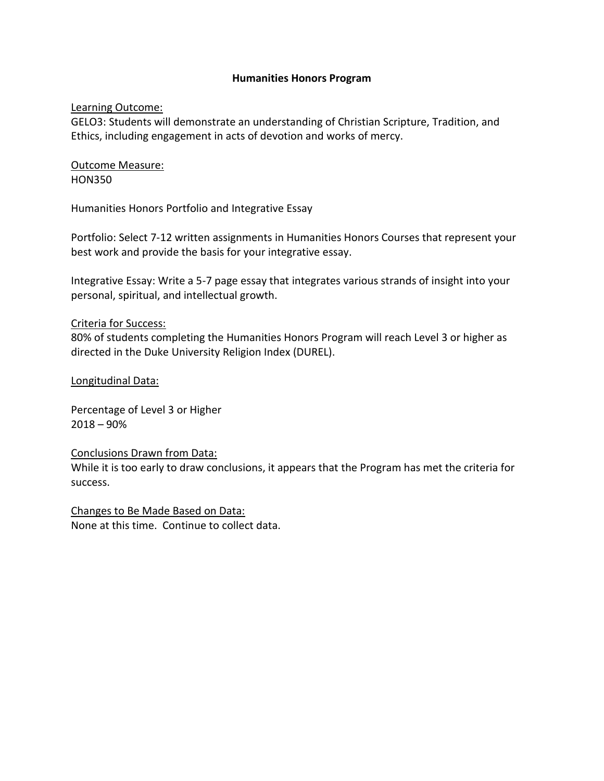# **Humanities Honors Program**

# Learning Outcome:

GELO3: Students will demonstrate an understanding of Christian Scripture, Tradition, and Ethics, including engagement in acts of devotion and works of mercy.

Outcome Measure: HON350

Humanities Honors Portfolio and Integrative Essay

Portfolio: Select 7-12 written assignments in Humanities Honors Courses that represent your best work and provide the basis for your integrative essay.

Integrative Essay: Write a 5-7 page essay that integrates various strands of insight into your personal, spiritual, and intellectual growth.

## Criteria for Success:

80% of students completing the Humanities Honors Program will reach Level 3 or higher as directed in the Duke University Religion Index (DUREL).

## Longitudinal Data:

Percentage of Level 3 or Higher  $2018 - 90%$ 

#### Conclusions Drawn from Data:

While it is too early to draw conclusions, it appears that the Program has met the criteria for success.

Changes to Be Made Based on Data: None at this time. Continue to collect data.